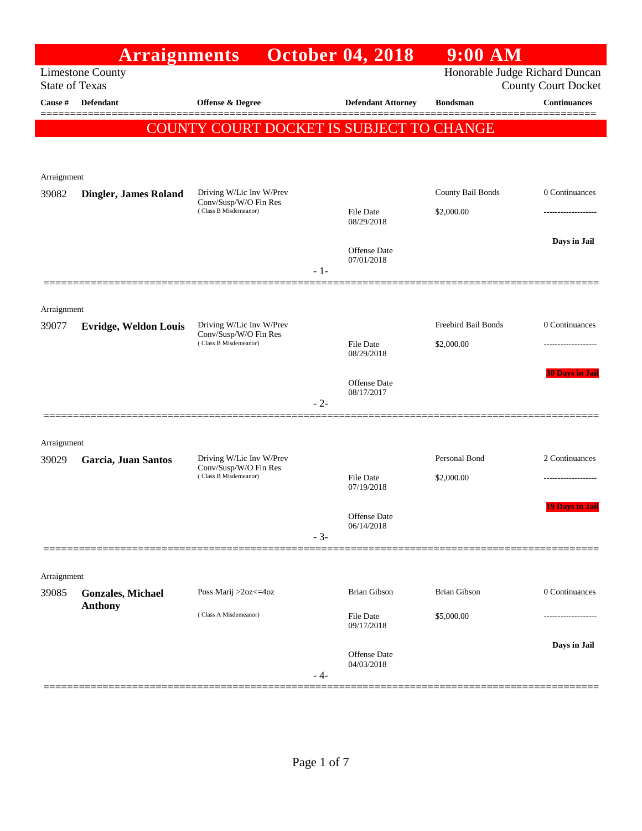|                      | <b>Arraignments</b>                              |                                                                            |       | <b>October 04, 2018</b>           | $9:00$ AM                      |                            |
|----------------------|--------------------------------------------------|----------------------------------------------------------------------------|-------|-----------------------------------|--------------------------------|----------------------------|
|                      | <b>Limestone County</b><br><b>State of Texas</b> |                                                                            |       |                                   | Honorable Judge Richard Duncan | <b>County Court Docket</b> |
| Cause #              | <b>Defendant</b>                                 | <b>Offense &amp; Degree</b>                                                |       | <b>Defendant Attorney</b>         | <b>Bondsman</b>                | <b>Continuances</b>        |
|                      |                                                  | COUNTY COURT DOCKET IS SUBJECT TO CHANGE                                   |       |                                   |                                |                            |
|                      |                                                  |                                                                            |       |                                   |                                |                            |
|                      |                                                  |                                                                            |       |                                   |                                |                            |
| Arraignment<br>39082 | <b>Dingler, James Roland</b>                     | Driving W/Lic Inv W/Prev                                                   |       |                                   | County Bail Bonds              | 0 Continuances             |
|                      |                                                  | Conv/Susp/W/O Fin Res<br>(Class B Misdemeanor)                             |       | <b>File Date</b>                  | \$2,000.00                     |                            |
|                      |                                                  |                                                                            |       | 08/29/2018                        |                                | Days in Jail               |
|                      |                                                  |                                                                            |       | <b>Offense Date</b><br>07/01/2018 |                                |                            |
|                      |                                                  |                                                                            | $-1-$ |                                   |                                |                            |
|                      |                                                  |                                                                            |       |                                   |                                |                            |
| Arraignment<br>39077 | <b>Evridge, Weldon Louis</b>                     | Driving W/Lic Inv W/Prev                                                   |       |                                   | Freebird Bail Bonds            | 0 Continuances             |
|                      |                                                  | Conv/Susp/W/O Fin Res<br>(Class B Misdemeanor)                             |       | <b>File Date</b>                  | \$2,000.00                     |                            |
|                      |                                                  |                                                                            |       | 08/29/2018                        |                                |                            |
|                      |                                                  |                                                                            |       | <b>Offense Date</b>               |                                | <b>30 Days in Jail</b>     |
|                      |                                                  |                                                                            | $-2-$ | 08/17/2017                        |                                |                            |
|                      |                                                  |                                                                            |       |                                   |                                |                            |
| Arraignment          |                                                  |                                                                            |       |                                   |                                |                            |
| 39029                | Garcia, Juan Santos                              | Driving W/Lic Inv W/Prev<br>Conv/Susp/W/O Fin Res<br>(Class B Misdemeanor) |       | <b>File Date</b>                  | Personal Bond<br>\$2,000.00    | 2 Continuances             |
|                      |                                                  |                                                                            |       | 07/19/2018                        |                                |                            |
|                      |                                                  |                                                                            |       | Offense Date                      |                                | <b>19 Days in Jail</b>     |
|                      |                                                  |                                                                            | $-3-$ | 06/14/2018                        |                                |                            |
|                      |                                                  |                                                                            |       |                                   |                                |                            |
| Arraignment          |                                                  |                                                                            |       |                                   |                                |                            |
| 39085                | <b>Gonzales, Michael</b><br><b>Anthony</b>       | Poss Marij >2oz<=4oz                                                       |       | <b>Brian Gibson</b>               | <b>Brian Gibson</b>            | 0 Continuances             |
|                      |                                                  | (Class A Misdemeanor)                                                      |       | File Date<br>09/17/2018           | \$5,000.00                     |                            |
|                      |                                                  |                                                                            |       |                                   |                                | Days in Jail               |
|                      |                                                  |                                                                            |       | Offense Date<br>04/03/2018        |                                |                            |
|                      |                                                  |                                                                            | - 4-  |                                   |                                |                            |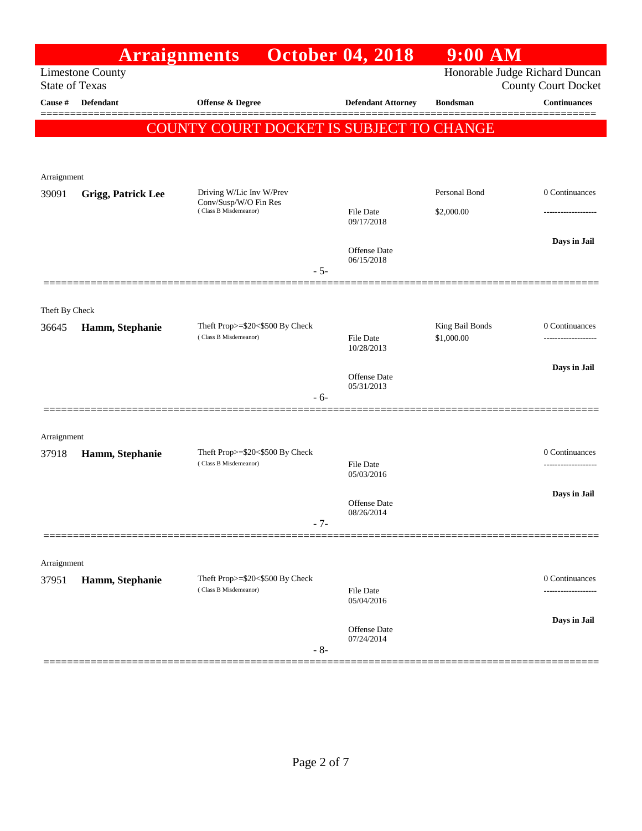|                                                                                    | <b>Arraignments</b>       |                                                          | <b>October 04, 2018</b>        | $9:00$ AM       |                                                   |
|------------------------------------------------------------------------------------|---------------------------|----------------------------------------------------------|--------------------------------|-----------------|---------------------------------------------------|
| Honorable Judge Richard Duncan<br><b>Limestone County</b><br><b>State of Texas</b> |                           |                                                          |                                |                 |                                                   |
| Cause #                                                                            | <b>Defendant</b>          | Offense & Degree                                         | <b>Defendant Attorney</b>      | <b>Bondsman</b> | <b>County Court Docket</b><br><b>Continuances</b> |
|                                                                                    |                           | COUNTY COURT DOCKET IS SUBJECT TO CHANGE                 |                                |                 |                                                   |
|                                                                                    |                           |                                                          |                                |                 |                                                   |
|                                                                                    |                           |                                                          |                                |                 |                                                   |
| Arraignment                                                                        |                           |                                                          |                                |                 |                                                   |
| 39091                                                                              | <b>Grigg, Patrick Lee</b> | Driving W/Lic Inv W/Prev<br>Conv/Susp/W/O Fin Res        |                                | Personal Bond   | 0 Continuances                                    |
|                                                                                    |                           | (Class B Misdemeanor)                                    | <b>File Date</b><br>09/17/2018 | \$2,000.00      |                                                   |
|                                                                                    |                           |                                                          |                                |                 | Days in Jail                                      |
|                                                                                    |                           |                                                          | Offense Date<br>06/15/2018     |                 |                                                   |
|                                                                                    |                           | $-5-$                                                    |                                |                 |                                                   |
|                                                                                    |                           |                                                          |                                |                 |                                                   |
| Theft By Check<br>36645                                                            |                           | Theft Prop>=\$20<\$500 By Check                          |                                | King Bail Bonds | 0 Continuances                                    |
|                                                                                    | Hamm, Stephanie           | (Class B Misdemeanor)                                    | File Date                      | \$1,000.00      |                                                   |
|                                                                                    |                           |                                                          | 10/28/2013                     |                 |                                                   |
|                                                                                    |                           |                                                          | Offense Date<br>05/31/2013     |                 | Days in Jail                                      |
|                                                                                    |                           | $-6-$                                                    |                                |                 |                                                   |
|                                                                                    |                           |                                                          |                                |                 |                                                   |
| Arraignment                                                                        |                           |                                                          |                                |                 |                                                   |
| 37918                                                                              | Hamm, Stephanie           | Theft Prop>=\$20<\$500 By Check<br>(Class B Misdemeanor) | File Date                      |                 | 0 Continuances<br>-------------------             |
|                                                                                    |                           |                                                          | 05/03/2016                     |                 |                                                   |
|                                                                                    |                           |                                                          | Offense Date                   |                 | Days in Jail                                      |
|                                                                                    |                           | $-7-$                                                    | 08/26/2014                     |                 |                                                   |
|                                                                                    |                           |                                                          |                                |                 |                                                   |
| Arraignment                                                                        |                           |                                                          |                                |                 |                                                   |
| 37951                                                                              | Hamm, Stephanie           | Theft Prop>=\$20<\$500 By Check                          |                                |                 | 0 Continuances                                    |
|                                                                                    |                           | (Class B Misdemeanor)                                    | File Date<br>05/04/2016        |                 |                                                   |
|                                                                                    |                           |                                                          |                                |                 | Days in Jail                                      |
|                                                                                    |                           |                                                          | Offense Date<br>07/24/2014     |                 |                                                   |
|                                                                                    |                           | $-8-$                                                    |                                |                 |                                                   |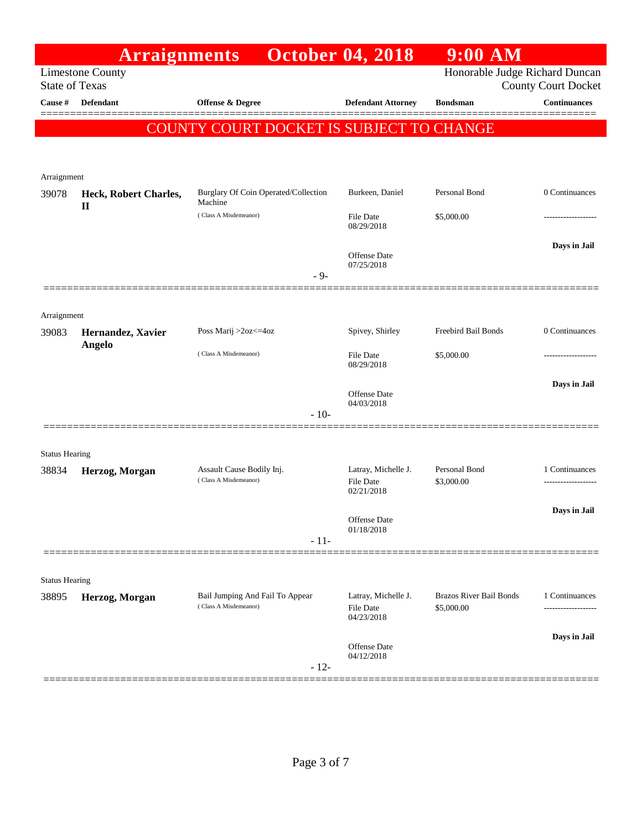|                                  | <b>Arraignments</b>     |                                                          | <b>October 04, 2018</b>                               | 9:00 AM                                      |                                                   |
|----------------------------------|-------------------------|----------------------------------------------------------|-------------------------------------------------------|----------------------------------------------|---------------------------------------------------|
|                                  | <b>Limestone County</b> |                                                          |                                                       | Honorable Judge Richard Duncan               |                                                   |
| <b>State of Texas</b><br>Cause # | <b>Defendant</b>        | Offense & Degree                                         | <b>Defendant Attorney</b>                             | <b>Bondsman</b>                              | <b>County Court Docket</b><br><b>Continuances</b> |
|                                  |                         |                                                          |                                                       |                                              |                                                   |
|                                  |                         | COUNTY COURT DOCKET IS SUBJECT TO CHANGE                 |                                                       |                                              |                                                   |
|                                  |                         |                                                          |                                                       |                                              |                                                   |
|                                  |                         |                                                          |                                                       |                                              |                                                   |
| Arraignment<br>39078             | Heck, Robert Charles,   | Burglary Of Coin Operated/Collection                     | Burkeen, Daniel                                       | Personal Bond                                | 0 Continuances                                    |
|                                  | $\mathbf{I}$            | Machine<br>(Class A Misdemeanor)                         | File Date                                             | \$5,000.00                                   |                                                   |
|                                  |                         |                                                          | 08/29/2018                                            |                                              |                                                   |
|                                  |                         |                                                          |                                                       |                                              | Days in Jail                                      |
|                                  |                         |                                                          | Offense Date<br>07/25/2018                            |                                              |                                                   |
|                                  |                         | $-9-$                                                    |                                                       |                                              |                                                   |
|                                  |                         |                                                          |                                                       |                                              |                                                   |
| Arraignment                      |                         |                                                          |                                                       |                                              |                                                   |
| 39083                            | Hernandez, Xavier       | Poss Marij >2oz<=4oz                                     | Spivey, Shirley                                       | Freebird Bail Bonds                          | 0 Continuances                                    |
|                                  | Angelo                  | (Class A Misdemeanor)                                    | File Date<br>08/29/2018                               | \$5,000.00                                   |                                                   |
|                                  |                         |                                                          |                                                       |                                              | Days in Jail                                      |
|                                  |                         |                                                          | Offense Date<br>04/03/2018                            |                                              |                                                   |
|                                  |                         | $-10-$                                                   |                                                       |                                              |                                                   |
|                                  |                         |                                                          |                                                       |                                              |                                                   |
| <b>Status Hearing</b>            |                         |                                                          |                                                       |                                              |                                                   |
| 38834                            | Herzog, Morgan          | Assault Cause Bodily Inj.<br>(Class A Misdemeanor)       | Latray, Michelle J.<br><b>File Date</b>               | Personal Bond<br>\$3,000.00                  | 1 Continuances                                    |
|                                  |                         |                                                          | 02/21/2018                                            |                                              |                                                   |
|                                  |                         |                                                          |                                                       |                                              | Days in Jail                                      |
|                                  |                         |                                                          | Offense Date<br>01/18/2018                            |                                              |                                                   |
|                                  |                         | $-11-$                                                   |                                                       |                                              |                                                   |
|                                  |                         |                                                          |                                                       |                                              |                                                   |
| <b>Status Hearing</b>            |                         |                                                          |                                                       |                                              |                                                   |
| 38895                            | Herzog, Morgan          | Bail Jumping And Fail To Appear<br>(Class A Misdemeanor) | Latray, Michelle J.<br><b>File Date</b><br>04/23/2018 | <b>Brazos River Bail Bonds</b><br>\$5,000.00 | 1 Continuances<br>-------------------             |
|                                  |                         |                                                          |                                                       |                                              | Days in Jail                                      |
|                                  |                         | $-12-$                                                   | <b>Offense</b> Date<br>04/12/2018                     |                                              |                                                   |
|                                  |                         |                                                          |                                                       |                                              |                                                   |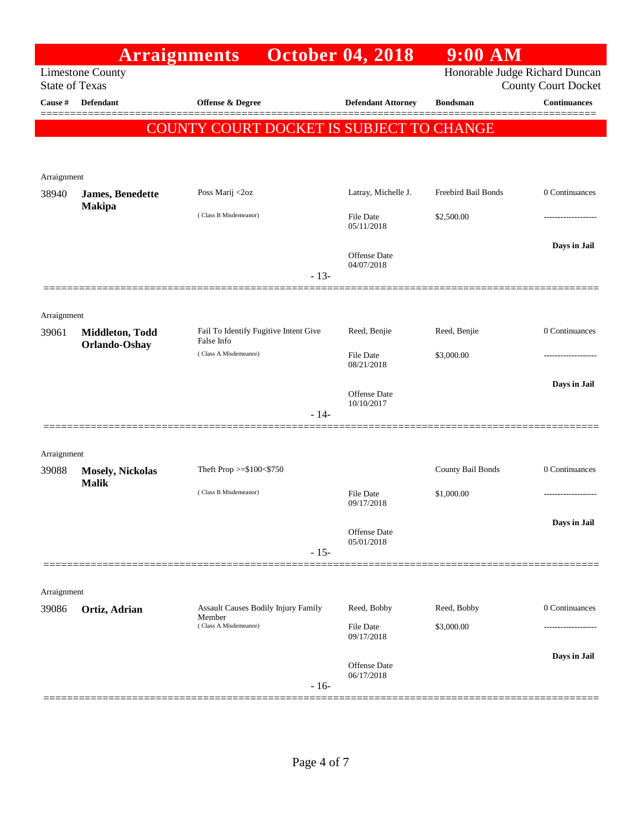|                       | <b>Arraignments</b>                     |                                                                        | <b>October 04, 2018</b>        | $9:00$ AM                      |                            |
|-----------------------|-----------------------------------------|------------------------------------------------------------------------|--------------------------------|--------------------------------|----------------------------|
| <b>State of Texas</b> | <b>Limestone County</b>                 |                                                                        |                                | Honorable Judge Richard Duncan | <b>County Court Docket</b> |
| Cause #               | <b>Defendant</b>                        | <b>Offense &amp; Degree</b>                                            | <b>Defendant Attorney</b>      | <b>Bondsman</b>                | <b>Continuances</b>        |
|                       |                                         | COUNTY COURT DOCKET IS SUBJECT TO CHANGE                               |                                |                                |                            |
|                       |                                         |                                                                        |                                |                                |                            |
|                       |                                         |                                                                        |                                |                                |                            |
| Arraignment<br>38940  | <b>James</b> , Benedette                | Poss Marij <2oz                                                        | Latray, Michelle J.            | Freebird Bail Bonds            | 0 Continuances             |
|                       | <b>Makipa</b>                           | (Class B Misdemeanor)                                                  | <b>File Date</b>               | \$2,500.00                     |                            |
|                       |                                         |                                                                        | 05/11/2018                     |                                |                            |
|                       |                                         |                                                                        | Offense Date                   |                                | Days in Jail               |
|                       |                                         | $-13-$                                                                 | 04/07/2018                     |                                |                            |
|                       |                                         |                                                                        |                                |                                |                            |
| Arraignment           |                                         |                                                                        |                                |                                |                            |
| 39061                 | Middleton, Todd                         | Fail To Identify Fugitive Intent Give<br>False Info                    | Reed, Benjie                   | Reed, Benjie                   | 0 Continuances             |
|                       | Orlando-Oshay                           | (Class A Misdemeanor)                                                  | <b>File Date</b>               | \$3,000.00                     |                            |
|                       |                                         |                                                                        | 08/21/2018                     |                                |                            |
|                       |                                         |                                                                        | Offense Date                   |                                | Days in Jail               |
|                       |                                         | $-14-$                                                                 | 10/10/2017                     |                                |                            |
|                       |                                         |                                                                        |                                |                                |                            |
| Arraignment           |                                         |                                                                        |                                |                                |                            |
| 39088                 | <b>Mosely, Nickolas</b><br><b>Malik</b> | Theft Prop >=\$100<\$750                                               |                                | County Bail Bonds              | 0 Continuances             |
|                       |                                         | (Class B Misdemeanor)                                                  | <b>File Date</b><br>09/17/2018 | \$1,000.00                     |                            |
|                       |                                         |                                                                        |                                |                                | Days in Jail               |
|                       |                                         |                                                                        | Offense Date<br>05/01/2018     |                                |                            |
|                       |                                         | $-15-$                                                                 |                                |                                |                            |
|                       |                                         |                                                                        |                                |                                |                            |
| Arraignment           |                                         |                                                                        |                                |                                |                            |
| 39086                 | Ortiz, Adrian                           | Assault Causes Bodily Injury Family<br>Member<br>(Class A Misdemeanor) | Reed, Bobby<br>File Date       | Reed, Bobby<br>\$3,000.00      | 0 Continuances             |
|                       |                                         |                                                                        | 09/17/2018                     |                                |                            |
|                       |                                         |                                                                        | Offense Date                   |                                | Days in Jail               |
|                       |                                         | $-16-$                                                                 | 06/17/2018                     |                                |                            |
|                       |                                         |                                                                        |                                |                                |                            |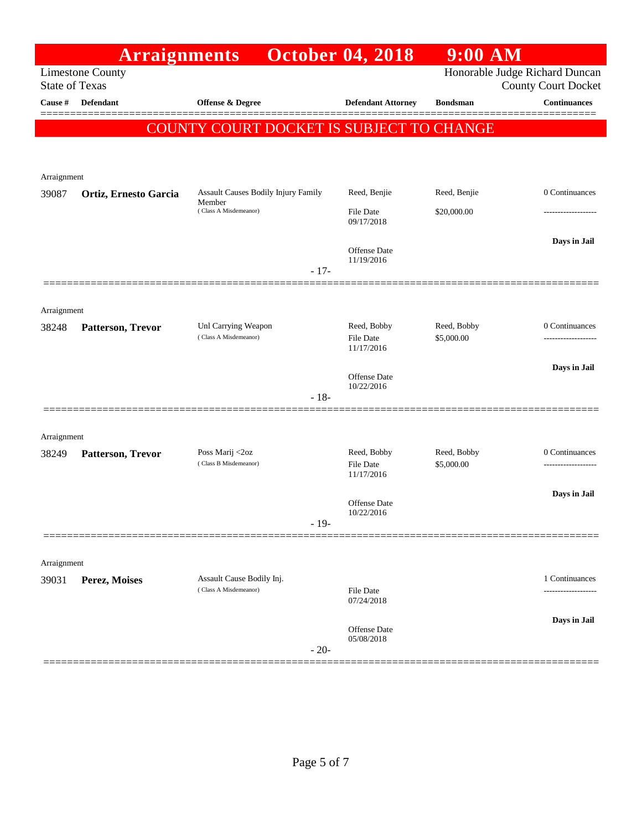|                       | <b>Arraignments</b>     |                                               |        | <b>October 04, 2018</b>    | 9:00 AM         |                                                              |
|-----------------------|-------------------------|-----------------------------------------------|--------|----------------------------|-----------------|--------------------------------------------------------------|
| <b>State of Texas</b> | <b>Limestone County</b> |                                               |        |                            |                 | Honorable Judge Richard Duncan<br><b>County Court Docket</b> |
| Cause #               | <b>Defendant</b>        | <b>Offense &amp; Degree</b>                   |        | <b>Defendant Attorney</b>  | <b>Bondsman</b> | <b>Continuances</b>                                          |
|                       |                         | COUNTY COURT DOCKET IS SUBJECT TO CHANGE      |        |                            |                 |                                                              |
|                       |                         |                                               |        |                            |                 |                                                              |
| Arraignment           |                         |                                               |        |                            |                 |                                                              |
| 39087                 | Ortiz, Ernesto Garcia   | Assault Causes Bodily Injury Family<br>Member |        | Reed, Benjie               | Reed, Benjie    | 0 Continuances                                               |
|                       |                         | (Class A Misdemeanor)                         |        | File Date<br>09/17/2018    | \$20,000.00     |                                                              |
|                       |                         |                                               |        |                            |                 | Days in Jail                                                 |
|                       |                         |                                               | $-17-$ | Offense Date<br>11/19/2016 |                 |                                                              |
|                       |                         |                                               |        |                            |                 |                                                              |
| Arraignment           |                         |                                               |        |                            |                 |                                                              |
| 38248                 | Patterson, Trevor       | Unl Carrying Weapon                           |        | Reed, Bobby                | Reed, Bobby     | 0 Continuances                                               |
|                       |                         | (Class A Misdemeanor)                         |        | File Date<br>11/17/2016    | \$5,000.00      |                                                              |
|                       |                         |                                               |        |                            |                 | Days in Jail                                                 |
|                       |                         |                                               |        | Offense Date<br>10/22/2016 |                 |                                                              |
|                       |                         |                                               | $-18-$ |                            |                 |                                                              |
| Arraignment           |                         |                                               |        |                            |                 |                                                              |
| 38249                 | Patterson, Trevor       | Poss Marij <2oz                               |        | Reed, Bobby                | Reed, Bobby     | 0 Continuances                                               |
|                       |                         | (Class B Misdemeanor)                         |        | File Date<br>11/17/2016    | \$5,000.00      |                                                              |
|                       |                         |                                               |        |                            |                 | Days in Jail                                                 |
|                       |                         |                                               |        | Offense Date<br>10/22/2016 |                 |                                                              |
|                       |                         |                                               | $-19-$ |                            |                 |                                                              |
| Arraignment           |                         |                                               |        |                            |                 |                                                              |
| 39031                 | Perez, Moises           | Assault Cause Bodily Inj.                     |        |                            |                 | 1 Continuances                                               |
|                       |                         | (Class A Misdemeanor)                         |        | File Date<br>07/24/2018    |                 | ------------------                                           |
|                       |                         |                                               |        |                            |                 | Days in Jail                                                 |
|                       |                         |                                               |        | Offense Date<br>05/08/2018 |                 |                                                              |
|                       |                         |                                               | $-20-$ |                            |                 |                                                              |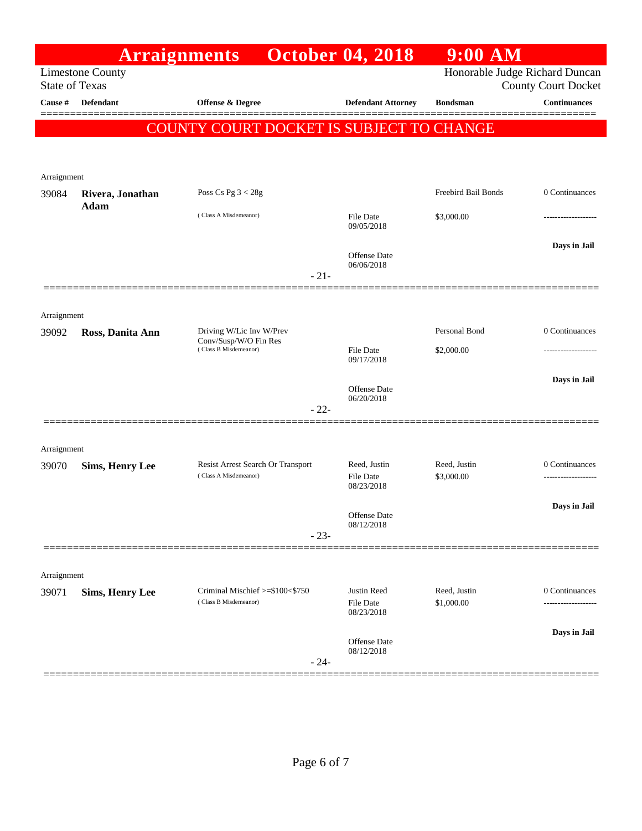|                                                                                                                  |                          | <b>Arraignments</b>                            | <b>October 04, 2018</b>           | $9:00$ AM           |                     |  |
|------------------------------------------------------------------------------------------------------------------|--------------------------|------------------------------------------------|-----------------------------------|---------------------|---------------------|--|
| Honorable Judge Richard Duncan<br><b>Limestone County</b><br><b>State of Texas</b><br><b>County Court Docket</b> |                          |                                                |                                   |                     |                     |  |
| Cause #                                                                                                          | <b>Defendant</b>         | <b>Offense &amp; Degree</b>                    | <b>Defendant Attorney</b>         | <b>Bondsman</b>     | <b>Continuances</b> |  |
|                                                                                                                  |                          | COUNTY COURT DOCKET IS SUBJECT TO CHANGE       |                                   |                     |                     |  |
|                                                                                                                  |                          |                                                |                                   |                     |                     |  |
|                                                                                                                  |                          |                                                |                                   |                     |                     |  |
| Arraignment                                                                                                      |                          |                                                |                                   |                     |                     |  |
| 39084                                                                                                            | Rivera, Jonathan<br>Adam | Poss Cs Pg $3 < 28g$                           |                                   | Freebird Bail Bonds | 0 Continuances      |  |
|                                                                                                                  |                          | (Class A Misdemeanor)                          | File Date<br>09/05/2018           | \$3,000.00          |                     |  |
|                                                                                                                  |                          |                                                |                                   |                     | Days in Jail        |  |
|                                                                                                                  |                          |                                                | <b>Offense</b> Date<br>06/06/2018 |                     |                     |  |
|                                                                                                                  |                          | $-21-$                                         |                                   |                     |                     |  |
|                                                                                                                  |                          |                                                |                                   |                     |                     |  |
| Arraignment<br>39092                                                                                             | Ross, Danita Ann         | Driving W/Lic Inv W/Prev                       |                                   | Personal Bond       | 0 Continuances      |  |
|                                                                                                                  |                          | Conv/Susp/W/O Fin Res<br>(Class B Misdemeanor) | File Date                         | \$2,000.00          |                     |  |
|                                                                                                                  |                          |                                                | 09/17/2018                        |                     |                     |  |
|                                                                                                                  |                          |                                                | Offense Date                      |                     | Days in Jail        |  |
|                                                                                                                  |                          | $-22-$                                         | 06/20/2018                        |                     |                     |  |
|                                                                                                                  |                          |                                                |                                   |                     |                     |  |
| Arraignment                                                                                                      |                          |                                                |                                   |                     |                     |  |
| 39070                                                                                                            | <b>Sims, Henry Lee</b>   | Resist Arrest Search Or Transport              | Reed, Justin                      | Reed, Justin        | 0 Continuances      |  |
|                                                                                                                  |                          | (Class A Misdemeanor)                          | File Date<br>08/23/2018           | \$3,000.00          |                     |  |
|                                                                                                                  |                          |                                                |                                   |                     | Days in Jail        |  |
|                                                                                                                  |                          |                                                | Offense Date<br>08/12/2018        |                     |                     |  |
|                                                                                                                  |                          | $-23-$                                         |                                   |                     |                     |  |
|                                                                                                                  |                          |                                                |                                   |                     |                     |  |
| Arraignment<br>39071                                                                                             | <b>Sims, Henry Lee</b>   | Criminal Mischief >=\$100<\$750                | Justin Reed                       | Reed, Justin        | 0 Continuances      |  |
|                                                                                                                  |                          | (Class B Misdemeanor)                          | File Date<br>08/23/2018           | \$1,000.00          | .                   |  |
|                                                                                                                  |                          |                                                |                                   |                     | Days in Jail        |  |
|                                                                                                                  |                          |                                                | <b>Offense</b> Date<br>08/12/2018 |                     |                     |  |
|                                                                                                                  |                          | $-24-$                                         |                                   |                     |                     |  |
|                                                                                                                  |                          |                                                |                                   |                     |                     |  |